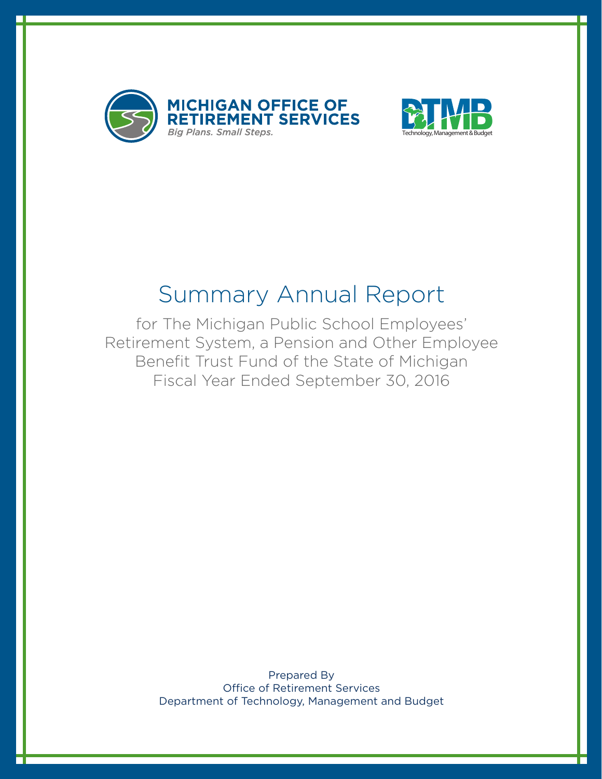



# Summary Annual Report

for The Michigan Public School Employees' Retirement System, a Pension and Other Employee Benefit Trust Fund of the State of Michigan Fiscal Year Ended September 30, 2016

> Prepared By Office of Retirement Services Department of Technology, Management and Budget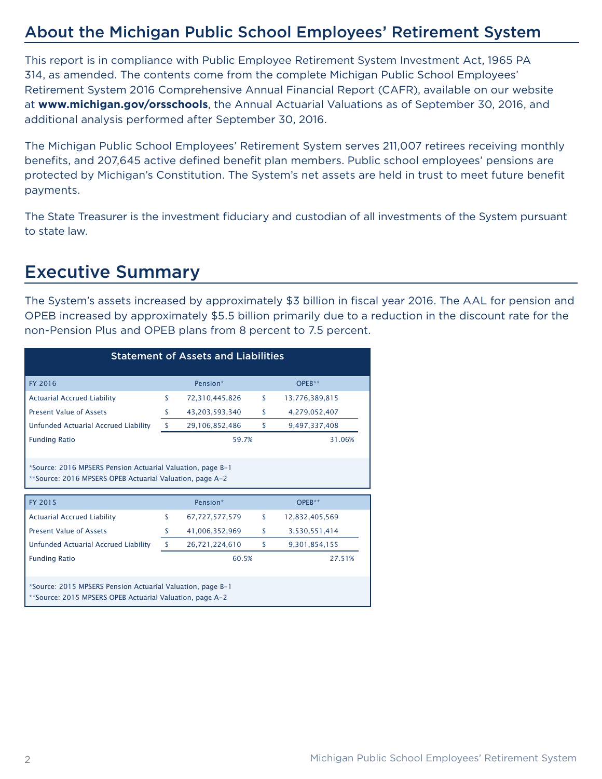### About the Michigan Public School Employees' Retirement System

This report is in compliance with Public Employee Retirement System Investment Act, 1965 PA 314, as amended. The contents come from the complete Michigan Public School Employees' Retirement System 2016 Comprehensive Annual Financial Report (CAFR), available on our website at **www.michigan.gov/orsschools**, the Annual Actuarial Valuations as of September 30, 2016, and additional analysis performed after September 30, 2016.

The Michigan Public School Employees' Retirement System serves 211,007 retirees receiving monthly benefits, and 207,645 active defined benefit plan members. Public school employees' pensions are protected by Michigan's Constitution. The System's net assets are held in trust to meet future benefit payments.

The State Treasurer is the investment fiduciary and custodian of all investments of the System pursuant to state law.

### Executive Summary

The System's assets increased by approximately \$3 billion in fiscal year 2016. The AAL for pension and OPEB increased by approximately \$5.5 billion primarily due to a reduction in the discount rate for the non-Pension Plus and OPEB plans from 8 percent to 7.5 percent.

| <b>Statement of Assets and Liabilities</b>                                                                             |               |                |    |                |  |
|------------------------------------------------------------------------------------------------------------------------|---------------|----------------|----|----------------|--|
| FY 2016                                                                                                                |               | Pension*       |    | OPEB**         |  |
| <b>Actuarial Accrued Liability</b>                                                                                     | \$            | 72,310,445,826 | \$ | 13,776,389,815 |  |
| <b>Present Value of Assets</b>                                                                                         | S             | 43,203,593,340 | \$ | 4,279,052,407  |  |
| Unfunded Actuarial Accrued Liability                                                                                   | s             | 29,106,852,486 | \$ | 9,497,337,408  |  |
| <b>Funding Ratio</b><br>59.7%<br>31.06%                                                                                |               |                |    |                |  |
| *Source: 2016 MPSERS Pension Actuarial Valuation, page B-1<br>**Source: 2016 MPSERS OPEB Actuarial Valuation, page A-2 |               |                |    |                |  |
|                                                                                                                        |               |                |    |                |  |
| FY 2015                                                                                                                |               | Pension*       |    | $OPEB**$       |  |
| <b>Actuarial Accrued Liability</b>                                                                                     | \$            | 67,727,577,579 | \$ | 12,832,405,569 |  |
| <b>Present Value of Assets</b>                                                                                         | \$            | 41,006,352,969 | \$ | 3,530,551,414  |  |
| Unfunded Actuarial Accrued Liability                                                                                   | <sup>\$</sup> | 26,721,224,610 | \$ | 9,301,854,155  |  |
| <b>Funding Ratio</b>                                                                                                   |               | 60.5%          |    | 27.51%         |  |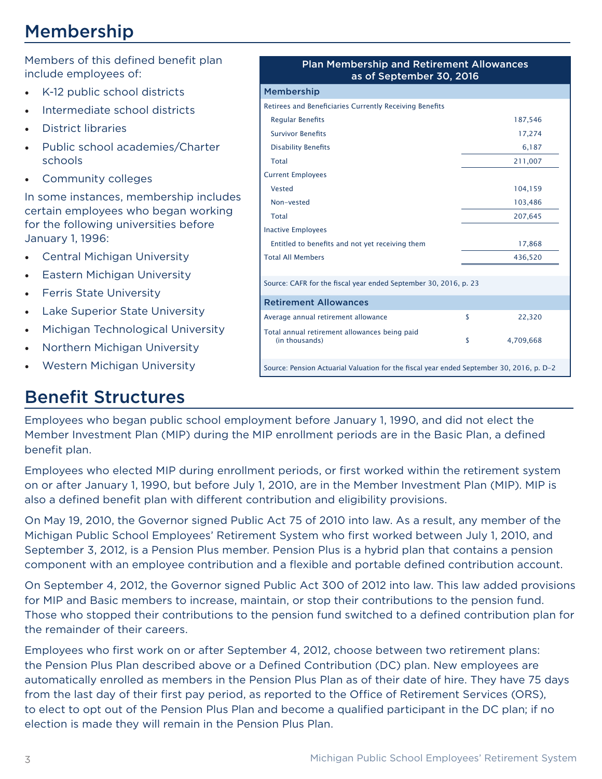## Membership

Members of this defined benefit plan include employees of:

- • K-12 public school districts
- Intermediate school districts
- **District libraries**
- • Public school academies/Charter schools
- • Community colleges

In some instances, membership includes certain employees who began working for the following universities before January 1, 1996:

- **Central Michigan University**
- Eastern Michigan University
- • Ferris State University
- Lake Superior State University
- Michigan Technological University
- **Northern Michigan University**
- **Western Michigan University**

### Benefit Structures

| <b>Plan Membership and Retirement Allowances</b><br>as of September 30, 2016             |    |           |  |  |
|------------------------------------------------------------------------------------------|----|-----------|--|--|
| <b>Membership</b>                                                                        |    |           |  |  |
| <b>Retirees and Beneficiaries Currently Receiving Benefits</b>                           |    |           |  |  |
| <b>Regular Benefits</b>                                                                  |    | 187,546   |  |  |
| <b>Survivor Benefits</b>                                                                 |    | 17,274    |  |  |
| <b>Disability Benefits</b>                                                               |    | 6,187     |  |  |
| Total                                                                                    |    | 211,007   |  |  |
| <b>Current Employees</b>                                                                 |    |           |  |  |
| <b>Vested</b>                                                                            |    | 104,159   |  |  |
| Non-vested                                                                               |    | 103,486   |  |  |
| Total                                                                                    |    | 207,645   |  |  |
| <b>Inactive Employees</b>                                                                |    |           |  |  |
| Entitled to benefits and not yet receiving them                                          |    | 17,868    |  |  |
| <b>Total All Members</b>                                                                 |    | 436,520   |  |  |
|                                                                                          |    |           |  |  |
| Source: CAFR for the fiscal year ended September 30, 2016, p. 23                         |    |           |  |  |
| <b>Retirement Allowances</b>                                                             |    |           |  |  |
| Average annual retirement allowance                                                      | \$ | 22,320    |  |  |
| Total annual retirement allowances being paid<br>(in thousands)                          | \$ | 4,709,668 |  |  |
| Source: Pension Actuarial Valuation for the fiscal year ended September 30, 2016, p. D-2 |    |           |  |  |

Employees who began public school employment before January 1, 1990, and did not elect the Member Investment Plan (MIP) during the MIP enrollment periods are in the Basic Plan, a defined benefit plan.

Employees who elected MIP during enrollment periods, or first worked within the retirement system on or after January 1, 1990, but before July 1, 2010, are in the Member Investment Plan (MIP). MIP is also a defined benefit plan with different contribution and eligibility provisions.

On May 19, 2010, the Governor signed Public Act 75 of 2010 into law. As a result, any member of the Michigan Public School Employees' Retirement System who first worked between July 1, 2010, and September 3, 2012, is a Pension Plus member. Pension Plus is a hybrid plan that contains a pension component with an employee contribution and a flexible and portable defined contribution account.

On September 4, 2012, the Governor signed Public Act 300 of 2012 into law. This law added provisions for MIP and Basic members to increase, maintain, or stop their contributions to the pension fund. Those who stopped their contributions to the pension fund switched to a defined contribution plan for the remainder of their careers.

Employees who first work on or after September 4, 2012, choose between two retirement plans: the Pension Plus Plan described above or a Defined Contribution (DC) plan. New employees are automatically enrolled as members in the Pension Plus Plan as of their date of hire. They have 75 days from the last day of their first pay period, as reported to the Office of Retirement Services (ORS), to elect to opt out of the Pension Plus Plan and become a qualified participant in the DC plan; if no election is made they will remain in the Pension Plus Plan.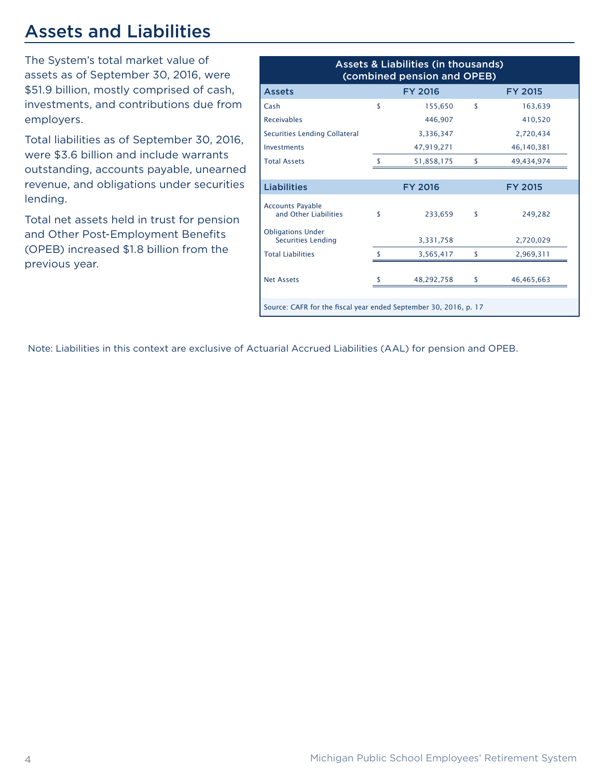## Assets and Liabilities

The System's total market value of assets as of September 30, 2016, were \$51.9 billion, mostly comprised of cash, investments, and contributions due from employers.

Total liabilities as of September 30, 2016, were \$3.6 billion and include warrants outstanding, accounts payable, unearned revenue, and obligations under securities lending.

Total net assets held in trust for pension and Other Post-Employment Benefits (OPEB) increased \$1.8 billion from the previous year.

| <b>Assets &amp; Liabilities (in thousands)</b><br>(combined pension and OPEB) |                    |                |                    |                |  |
|-------------------------------------------------------------------------------|--------------------|----------------|--------------------|----------------|--|
| <b>Assets</b>                                                                 |                    | <b>FY 2016</b> |                    | <b>FY 2015</b> |  |
| Cash                                                                          | \$                 | 155.650        | $\mathbf{\hat{S}}$ | 163.639        |  |
| <b>Receivables</b>                                                            |                    | 446.907        |                    | 410,520        |  |
| Securities Lending Collateral                                                 |                    | 3,336,347      |                    | 2,720,434      |  |
| Investments                                                                   |                    | 47,919,271     |                    | 46,140,381     |  |
| <b>Total Assets</b>                                                           | ¢                  | 51,858,175     | Ŝ                  | 49,434,974     |  |
|                                                                               |                    |                |                    |                |  |
| <b>Liabilities</b>                                                            |                    | <b>FY 2016</b> |                    | <b>FY 2015</b> |  |
| <b>Accounts Payable</b><br>and Other Liabilities                              | \$                 | 233,659        | \$                 | 249,282        |  |
| <b>Obligations Under</b><br><b>Securities Lending</b>                         |                    | 3,331,758      |                    | 2,720,029      |  |
| <b>Total Liabilities</b>                                                      | $\mathbf{\hat{S}}$ | 3,565,417      | \$                 | 2,969,311      |  |
| <b>Net Assets</b>                                                             |                    | 48,292,758     | \$                 | 46,465,663     |  |
| Source: CAFR for the fiscal year ended September 30, 2016, p. 17              |                    |                |                    |                |  |

Note: Liabilities in this context are exclusive of Actuarial Accrued Liabilities (AAL) for pension and OPEB.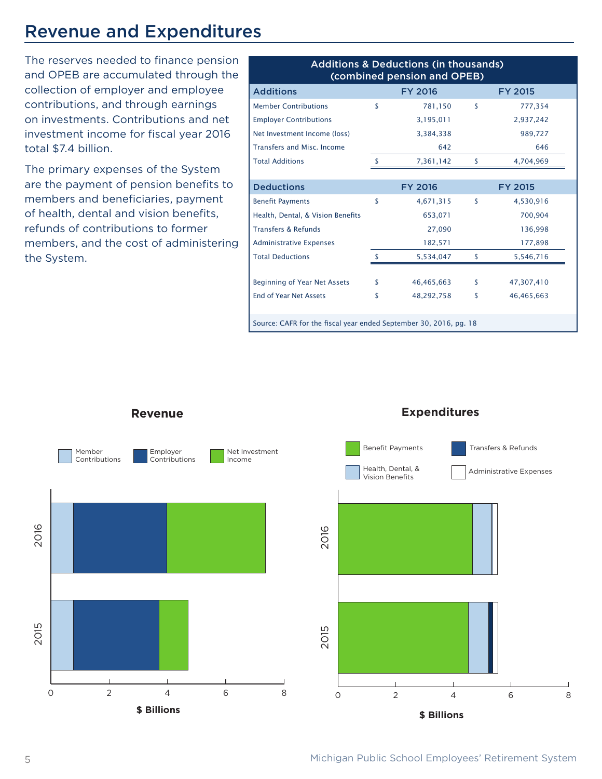### Revenue and Expenditures

The reserves needed to finance pension and OPEB are accumulated through the collection of employer and employee contributions, and through earnings on investments. Contributions and net investment income for fiscal year 2016 total \$7.4 billion.

The primary expenses of the System are the payment of pension benefits to members and beneficiaries, payment of health, dental and vision benefits, refunds of contributions to former members, and the cost of administering the System.

| <b>Additions &amp; Deductions (in thousands)</b><br>(combined pension and OPEB) |                                  |                |    |                |  |
|---------------------------------------------------------------------------------|----------------------------------|----------------|----|----------------|--|
| <b>Additions</b>                                                                | <b>FY 2016</b><br><b>FY 2015</b> |                |    |                |  |
| <b>Member Contributions</b>                                                     | \$                               | 781,150        | \$ | 777,354        |  |
| <b>Employer Contributions</b>                                                   |                                  | 3,195,011      |    | 2,937,242      |  |
| Net Investment Income (loss)                                                    |                                  | 3,384,338      |    | 989,727        |  |
| <b>Transfers and Misc. Income</b>                                               |                                  | 642            |    | 646            |  |
| <b>Total Additions</b>                                                          | \$                               | 7,361,142      | \$ | 4,704,969      |  |
|                                                                                 |                                  |                |    |                |  |
| <b>Deductions</b>                                                               |                                  | <b>FY 2016</b> |    | <b>FY 2015</b> |  |
| <b>Benefit Payments</b>                                                         | \$                               | 4,671,315      | \$ | 4,530,916      |  |
| Health, Dental, & Vision Benefits                                               |                                  | 653,071        |    | 700,904        |  |
| <b>Transfers &amp; Refunds</b>                                                  |                                  | 27,090         |    | 136,998        |  |
| <b>Administrative Expenses</b>                                                  |                                  | 182,571        |    | 177,898        |  |
| <b>Total Deductions</b>                                                         | \$                               | 5,534,047      | \$ | 5,546,716      |  |
|                                                                                 |                                  |                |    |                |  |
| <b>Beginning of Year Net Assets</b>                                             | \$                               | 46,465,663     | \$ | 47,307,410     |  |
| <b>End of Year Net Assets</b>                                                   | \$                               | 48,292,758     | \$ | 46,465,663     |  |
|                                                                                 |                                  |                |    |                |  |
| Source: CAER for the fiscal vear ended Sentember 30, 2016, no. 18               |                                  |                |    |                |  |

ource: CAFR for the fiscal year ended September 30, 2016, pg. 18



**Revenue**

#### **Expenditures**



5 Michigan Public School Employees' Retirement System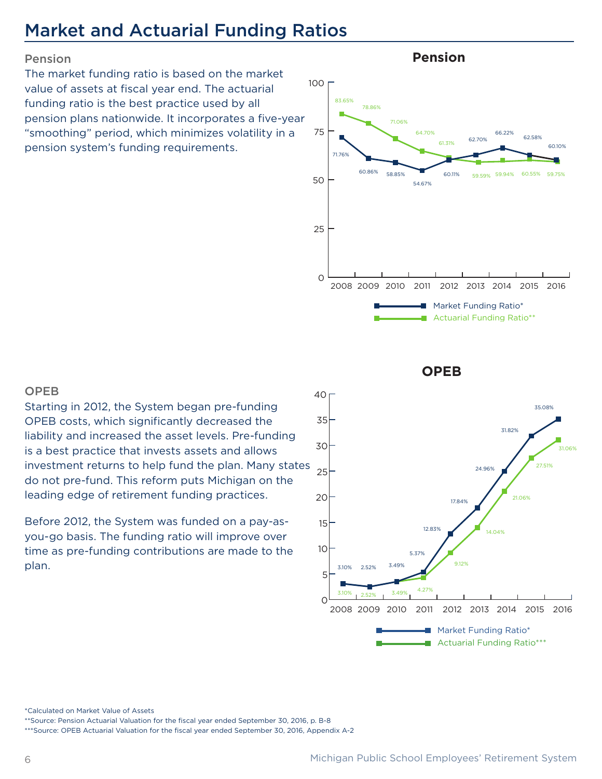## Market and Actuarial Funding Ratios

#### Pension

The market funding ratio is based on the market value of assets at fiscal year end. The actuarial funding ratio is the best practice used by all pension plans nationwide. It incorporates a five-year "smoothing" period, which minimizes volatility in a pension system's funding requirements.



**Pension**

**OPEB**

#### OPEB

Starting in 2012, the System began pre-funding OPEB costs, which significantly decreased the liability and increased the asset levels. Pre-funding is a best practice that invests assets and allows investment returns to help fund the plan. Many states do not pre-fund. This reform puts Michigan on the leading edge of retirement funding practices.

Before 2012, the System was funded on a pay-asyou-go basis. The funding ratio will improve over time as pre-funding contributions are made to the plan.



\*Calculated on Market Value of Assets

\*\*Source: Pension Actuarial Valuation for the fiscal year ended September 30, 2016, p. B-8

\*\*\*Source: OPEB Actuarial Valuation for the fiscal year ended September 30, 2016, Appendix A-2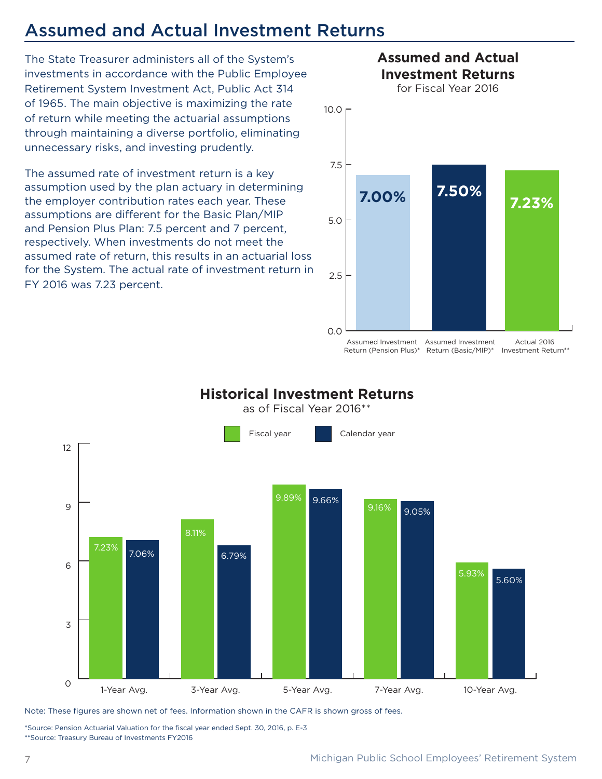### Assumed and Actual Investment Returns

The State Treasurer administers all of the System's investments in accordance with the Public Employee Retirement System Investment Act, Public Act 314 of 1965. The main objective is maximizing the rate of return while meeting the actuarial assumptions through maintaining a diverse portfolio, eliminating unnecessary risks, and investing prudently.

The assumed rate of investment return is a key assumption used by the plan actuary in determining the employer contribution rates each year. These assumptions are different for the Basic Plan/MIP and Pension Plus Plan: 7.5 percent and 7 percent, respectively. When investments do not meet the assumed rate of return, this results in an actuarial loss for the System. The actual rate of investment return in FY 2016 was 7.23 percent.



Assumed Investment Assumed Investment Return (Pension Plus)\* Return (Basic/MIP)\* Investment Return\*\* Actual 2016



### **Historical Investment Returns**

Note: These figures are shown net of fees. Information shown in the CAFR is shown gross of fees.

\*Source: Pension Actuarial Valuation for the fiscal year ended Sept. 30, 2016, p. E-3 \*\*Source: Treasury Bureau of Investments FY2016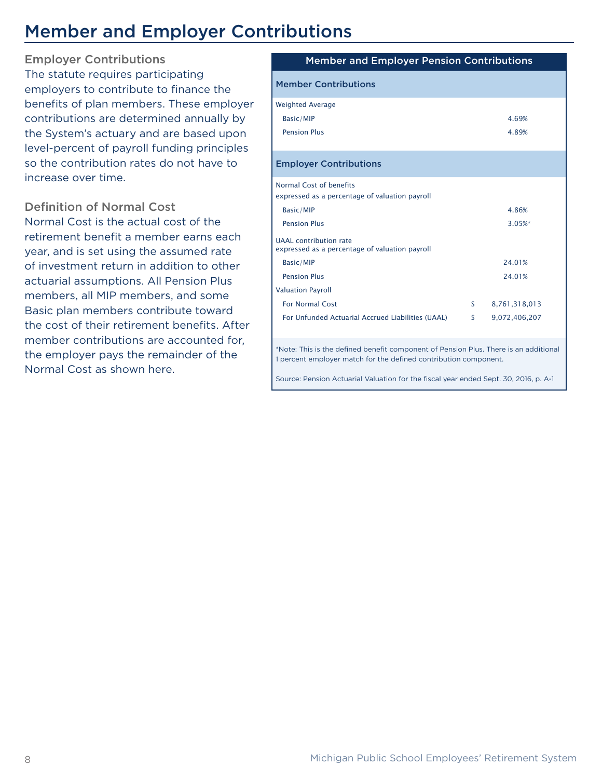## Member and Employer Contributions

Employer Contributions The statute requires participating employers to contribute to finance the benefits of plan members. These employer contributions are determined annually by the System's actuary and are based upon level-percent of payroll funding principles so the contribution rates do not have to increase over time.

Definition of Normal Cost

Normal Cost is the actual cost of the retirement benefit a member earns each year, and is set using the assumed rate of investment return in addition to other actuarial assumptions. All Pension Plus members, all MIP members, and some Basic plan members contribute toward the cost of their retirement benefits. After member contributions are accounted for, the employer pays the remainder of the Normal Cost as shown here.

| <b>Member and Employer Pension Contributions</b>                                |                     |
|---------------------------------------------------------------------------------|---------------------|
| <b>Member Contributions</b>                                                     |                     |
| <b>Weighted Average</b>                                                         |                     |
| Basic/MIP                                                                       | 4.69%               |
| <b>Pension Plus</b>                                                             | 4.89%               |
|                                                                                 |                     |
| <b>Employer Contributions</b>                                                   |                     |
| Normal Cost of benefits                                                         |                     |
| expressed as a percentage of valuation payroll                                  |                     |
| Basic/MIP                                                                       | 4.86%               |
| <b>Pension Plus</b>                                                             | 3.05%*              |
| <b>UAAL</b> contribution rate<br>expressed as a percentage of valuation payroll |                     |
| Basic/MIP                                                                       | 24.01%              |
| <b>Pension Plus</b>                                                             | 24.01%              |
| <b>Valuation Payroll</b>                                                        |                     |
| <b>For Normal Cost</b>                                                          | \$<br>8,761,318,013 |
| For Unfunded Actuarial Accrued Liabilities (UAAL)                               | \$<br>9,072,406,207 |

\*Note: This is the defined benefit component of Pension Plus. There is an additional 1 percent employer match for the defined contribution component.

Source: Pension Actuarial Valuation for the fiscal year ended Sept. 30, 2016, p. A-1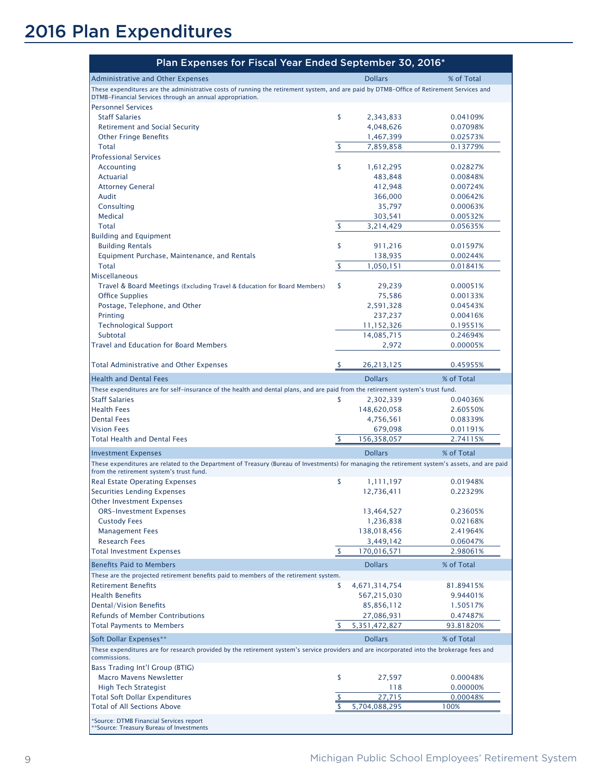## 2016 Plan Expenditures

| Plan Expenses for Fiscal Year Ended September 30, 2016*                                                                                                                                    |                           |                              |                       |
|--------------------------------------------------------------------------------------------------------------------------------------------------------------------------------------------|---------------------------|------------------------------|-----------------------|
| <b>Administrative and Other Expenses</b>                                                                                                                                                   |                           | <b>Dollars</b>               | % of Total            |
| These expenditures are the administrative costs of running the retirement system, and are paid by DTMB-Office of Retirement Services and                                                   |                           |                              |                       |
| DTMB-Financial Services through an annual appropriation.<br><b>Personnel Services</b>                                                                                                      |                           |                              |                       |
| <b>Staff Salaries</b>                                                                                                                                                                      | \$                        | 2,343,833                    | 0.04109%              |
| <b>Retirement and Social Security</b>                                                                                                                                                      |                           | 4,048,626                    | 0.07098%              |
| <b>Other Fringe Benefits</b>                                                                                                                                                               |                           | 1,467,399                    | 0.02573%              |
| <b>Total</b>                                                                                                                                                                               | \$                        | 7,859,858                    | 0.13779%              |
| <b>Professional Services</b>                                                                                                                                                               |                           |                              |                       |
| <b>Accounting</b>                                                                                                                                                                          | \$                        | 1,612,295                    | 0.02827%              |
| <b>Actuarial</b>                                                                                                                                                                           |                           | 483,848                      | 0.00848%              |
| <b>Attorney General</b>                                                                                                                                                                    |                           | 412,948                      | 0.00724%              |
| Audit                                                                                                                                                                                      |                           | 366,000                      | 0.00642%              |
| Consulting<br><b>Medical</b>                                                                                                                                                               |                           | 35,797<br>303,541            | 0.00063%<br>0.00532%  |
| <b>Total</b>                                                                                                                                                                               | \$                        | 3,214,429                    | 0.05635%              |
| <b>Building and Equipment</b>                                                                                                                                                              |                           |                              |                       |
| <b>Building Rentals</b>                                                                                                                                                                    | \$                        | 911,216                      | 0.01597%              |
| Equipment Purchase, Maintenance, and Rentals                                                                                                                                               |                           | 138,935                      | 0.00244%              |
| <b>Total</b>                                                                                                                                                                               | \$                        | 1,050,151                    | 0.01841%              |
| <b>Miscellaneous</b>                                                                                                                                                                       |                           |                              |                       |
| Travel & Board Meetings (Excluding Travel & Education for Board Members)                                                                                                                   | \$                        | 29,239                       | 0.00051%              |
| <b>Office Supplies</b>                                                                                                                                                                     |                           | 75,586                       | 0.00133%              |
| Postage, Telephone, and Other                                                                                                                                                              |                           | 2,591,328                    | 0.04543%              |
| Printing                                                                                                                                                                                   |                           | 237,237                      | 0.00416%              |
| <b>Technological Support</b>                                                                                                                                                               |                           | 11,152,326                   | 0.19551%              |
| Subtotal<br><b>Travel and Education for Board Members</b>                                                                                                                                  |                           | 14,085,715                   | 0.24694%              |
|                                                                                                                                                                                            |                           | 2,972                        | 0.00005%              |
| <b>Total Administrative and Other Expenses</b>                                                                                                                                             | \$.                       | 26,213,125                   | 0.45955%              |
| <b>Health and Dental Fees</b>                                                                                                                                                              |                           | <b>Dollars</b>               | % of Total            |
| These expenditures are for self-insurance of the health and dental plans, and are paid from the retirement system's trust fund.                                                            |                           |                              |                       |
| <b>Staff Salaries</b>                                                                                                                                                                      | \$                        | 2,302,339                    | 0.04036%              |
| <b>Health Fees</b>                                                                                                                                                                         |                           | 148,620,058                  | 2.60550%              |
| <b>Dental Fees</b>                                                                                                                                                                         |                           | 4,756,561                    | 0.08339%              |
| <b>Vision Fees</b>                                                                                                                                                                         |                           | 679,098                      | 0.01191%              |
| <b>Total Health and Dental Fees</b>                                                                                                                                                        | \$                        | 156,358,057                  | 2.74115%              |
| <b>Investment Expenses</b>                                                                                                                                                                 |                           | <b>Dollars</b>               | % of Total            |
| These expenditures are related to the Department of Treasury (Bureau of Investments) for managing the retirement system's assets, and are paid<br>from the retirement system's trust fund. |                           |                              |                       |
| <b>Real Estate Operating Expenses</b>                                                                                                                                                      | \$                        | 1,111,197                    | 0.01948%              |
| <b>Securities Lending Expenses</b>                                                                                                                                                         |                           | 12,736,411                   | 0.22329%              |
| <b>Other Investment Expenses</b>                                                                                                                                                           |                           |                              |                       |
| <b>ORS-Investment Expenses</b>                                                                                                                                                             |                           | 13,464,527                   | 0.23605%              |
| <b>Custody Fees</b>                                                                                                                                                                        |                           | 1,236,838                    | 0.02168%              |
| <b>Management Fees</b>                                                                                                                                                                     |                           | 138,018,456                  | 2.41964%              |
| <b>Research Fees</b><br><b>Total Investment Expenses</b>                                                                                                                                   | $\boldsymbol{\mathsf{S}}$ | 3,449,142<br>170,016,571     | 0.06047%<br>2.98061%  |
|                                                                                                                                                                                            |                           |                              |                       |
| <b>Benefits Paid to Members</b>                                                                                                                                                            |                           | <b>Dollars</b>               | % of Total            |
| These are the projected retirement benefits paid to members of the retirement system.                                                                                                      |                           |                              |                       |
| <b>Retirement Benefits</b><br><b>Health Benefits</b>                                                                                                                                       | \$                        | 4,671,314,754<br>567,215,030 | 81.89415%<br>9.94401% |
| <b>Dental/Vision Benefits</b>                                                                                                                                                              |                           | 85,856,112                   | 1.50517%              |
| <b>Refunds of Member Contributions</b>                                                                                                                                                     |                           | 27,086,931                   | 0.47487%              |
| <b>Total Payments to Members</b>                                                                                                                                                           | $\overline{z}$            | 5,351,472,827                | 93.81820%             |
| Soft Dollar Expenses**                                                                                                                                                                     |                           | <b>Dollars</b>               | % of Total            |
| These expenditures are for research provided by the retirement system's service providers and are incorporated into the brokerage fees and<br>commissions.                                 |                           |                              |                       |
| Bass Trading Int'l Group (BTIG)                                                                                                                                                            |                           |                              |                       |
| <b>Macro Mavens Newsletter</b>                                                                                                                                                             | \$                        | 27,597                       | 0.00048%              |
| <b>High Tech Strategist</b>                                                                                                                                                                |                           | 118                          | 0.00000%              |
| <b>Total Soft Dollar Expenditures</b>                                                                                                                                                      |                           | 27,715                       | 0.00048%              |
| <b>Total of All Sections Above</b>                                                                                                                                                         |                           | 5,704,088,295                | 100%                  |
| *Source: DTMB Financial Services report<br>** Source: Treasury Bureau of Investments                                                                                                       |                           |                              |                       |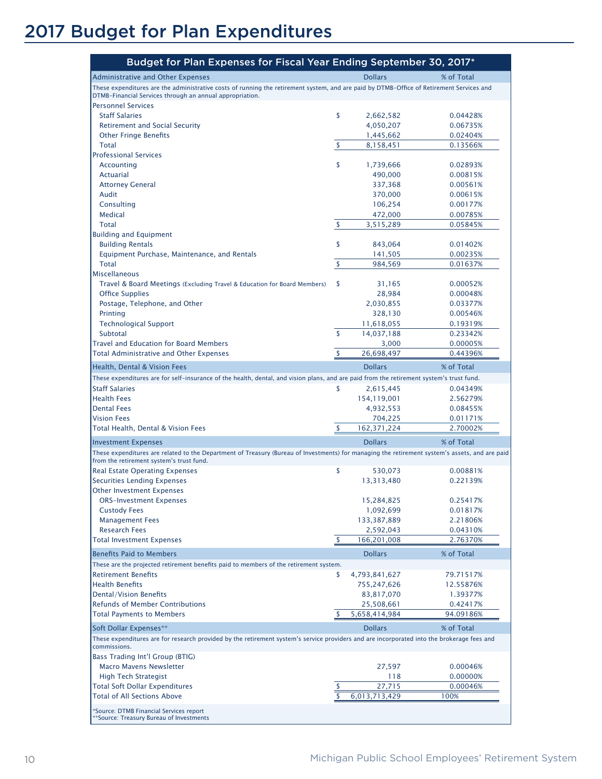## 2017 Budget for Plan Expenditures

| Budget for Plan Expenses for Fiscal Year Ending September 30, 2017*                                                                                        |                     |            |
|------------------------------------------------------------------------------------------------------------------------------------------------------------|---------------------|------------|
| <b>Administrative and Other Expenses</b>                                                                                                                   | <b>Dollars</b>      | % of Total |
| These expenditures are the administrative costs of running the retirement system, and are paid by DTMB-Office of Retirement Services and                   |                     |            |
| DTMB-Financial Services through an annual appropriation.                                                                                                   |                     |            |
| <b>Personnel Services</b><br><b>Staff Salaries</b>                                                                                                         | \$<br>2,662,582     | 0.04428%   |
| <b>Retirement and Social Security</b>                                                                                                                      | 4,050,207           | 0.06735%   |
| <b>Other Fringe Benefits</b>                                                                                                                               | 1,445,662           | 0.02404%   |
| <b>Total</b>                                                                                                                                               | \$<br>8,158,451     | 0.13566%   |
| <b>Professional Services</b>                                                                                                                               |                     |            |
| Accounting                                                                                                                                                 | \$<br>1,739,666     | 0.02893%   |
| Actuarial                                                                                                                                                  | 490,000             | 0.00815%   |
| <b>Attorney General</b>                                                                                                                                    | 337,368             | 0.00561%   |
| Audit                                                                                                                                                      | 370,000             | 0.00615%   |
| Consulting                                                                                                                                                 | 106,254             | 0.00177%   |
| Medical                                                                                                                                                    | 472,000             | 0.00785%   |
| <b>Total</b>                                                                                                                                               | \$<br>3,515,289     | 0.05845%   |
| <b>Building and Equipment</b>                                                                                                                              |                     |            |
| <b>Building Rentals</b>                                                                                                                                    | \$<br>843,064       | 0.01402%   |
| Equipment Purchase, Maintenance, and Rentals                                                                                                               | 141,505             | 0.00235%   |
| <b>Total</b><br><b>Miscellaneous</b>                                                                                                                       | \$<br>984,569       | 0.01637%   |
| Travel & Board Meetings (Excluding Travel & Education for Board Members)                                                                                   | \$<br>31,165        | 0.00052%   |
| <b>Office Supplies</b>                                                                                                                                     | 28,984              | 0.00048%   |
| Postage, Telephone, and Other                                                                                                                              | 2,030,855           | 0.03377%   |
| Printing                                                                                                                                                   | 328,130             | 0.00546%   |
| <b>Technological Support</b>                                                                                                                               | 11,618,055          | 0.19319%   |
| Subtotal                                                                                                                                                   | \$<br>14,037,188    | 0.23342%   |
| <b>Travel and Education for Board Members</b>                                                                                                              | 3,000               | 0.00005%   |
| Total Administrative and Other Expenses                                                                                                                    | \$<br>26,698,497    | 0.44396%   |
| Health, Dental & Vision Fees                                                                                                                               | <b>Dollars</b>      | % of Total |
| These expenditures are for self-insurance of the health, dental, and vision plans, and are paid from the retirement system's trust fund.                   |                     |            |
| <b>Staff Salaries</b>                                                                                                                                      | \$<br>2,615,445     | 0.04349%   |
| <b>Health Fees</b>                                                                                                                                         | 154,119,001         | 2.56279%   |
| <b>Dental Fees</b>                                                                                                                                         | 4,932,553           | 0.08455%   |
| <b>Vision Fees</b>                                                                                                                                         | 704,225             | 0.01171%   |
| Total Health, Dental & Vision Fees                                                                                                                         | \$<br>162,371,224   | 2.70002%   |
| <b>Investment Expenses</b>                                                                                                                                 | <b>Dollars</b>      | % of Total |
| These expenditures are related to the Department of Treasury (Bureau of Investments) for managing the retirement system's assets, and are paid             |                     |            |
| from the retirement system's trust fund.                                                                                                                   |                     |            |
| <b>Real Estate Operating Expenses</b>                                                                                                                      | \$<br>530,073       | 0.00881%   |
| <b>Securities Lending Expenses</b>                                                                                                                         | 13,313,480          | 0.22139%   |
| <b>Other Investment Expenses</b>                                                                                                                           |                     |            |
| <b>ORS-Investment Expenses</b>                                                                                                                             | 15,284,825          | 0.25417%   |
| <b>Custody Fees</b>                                                                                                                                        | 1,092,699           | 0.01817%   |
| <b>Management Fees</b>                                                                                                                                     | 133,387,889         | 2.21806%   |
| <b>Research Fees</b>                                                                                                                                       | 2,592,043           | 0.04310%   |
| <b>Total Investment Expenses</b>                                                                                                                           | \$<br>166,201,008   | 2.76370%   |
| <b>Benefits Paid to Members</b>                                                                                                                            | <b>Dollars</b>      | % of Total |
| These are the projected retirement benefits paid to members of the retirement system.                                                                      |                     |            |
| <b>Retirement Benefits</b>                                                                                                                                 | \$<br>4,793,841,627 | 79.71517%  |
| <b>Health Benefits</b>                                                                                                                                     | 755,247,626         | 12.55876%  |
| Dental/Vision Benefits                                                                                                                                     | 83,817,070          | 1.39377%   |
| <b>Refunds of Member Contributions</b>                                                                                                                     | 25,508,661          | 0.42417%   |
| <b>Total Payments to Members</b>                                                                                                                           | 5,658,414,984       | 94.09186%  |
| Soft Dollar Expenses**                                                                                                                                     | <b>Dollars</b>      | % of Total |
| These expenditures are for research provided by the retirement system's service providers and are incorporated into the brokerage fees and<br>commissions. |                     |            |
| Bass Trading Int'l Group (BTIG)                                                                                                                            |                     |            |
| <b>Macro Mavens Newsletter</b>                                                                                                                             | 27,597              | 0.00046%   |
| <b>High Tech Strategist</b>                                                                                                                                | 118                 | 0.00000%   |
| <b>Total Soft Dollar Expenditures</b>                                                                                                                      | 27,715              | 0.00046%   |
| <b>Total of All Sections Above</b>                                                                                                                         | 6,013,713,429       | 100%       |
| *Source: DTMB Financial Services report<br>**Source: Treasury Bureau of Investments                                                                        |                     |            |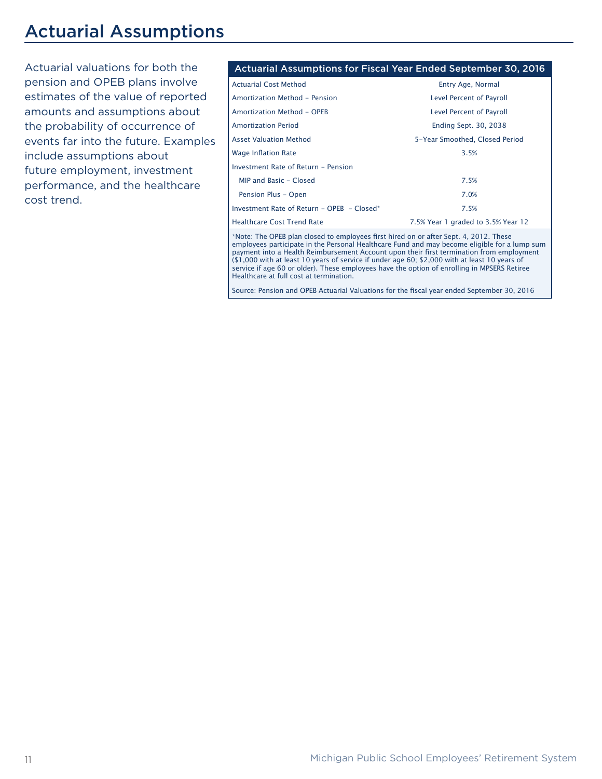### Actuarial Assumptions

Actuarial valuations for both the pension and OPEB plans involve estimates of the value of reported amounts and assumptions about the probability of occurrence of events far into the future. Examples include assumptions about future employment, investment performance, and the healthcare cost trend.

#### Actuarial Assumptions for Fiscal Year Ended September 30, 2016

| <b>Actuarial Cost Method</b>               | Entry Age, Normal                  |
|--------------------------------------------|------------------------------------|
| Amortization Method - Pension              | Level Percent of Payroll           |
| Amortization Method - OPEB                 | Level Percent of Payroll           |
| <b>Amortization Period</b>                 | <b>Ending Sept. 30, 2038</b>       |
| <b>Asset Valuation Method</b>              | 5-Year Smoothed, Closed Period     |
| <b>Wage Inflation Rate</b>                 | 3.5%                               |
| Investment Rate of Return - Pension        |                                    |
| MIP and Basic - Closed                     | 7.5%                               |
| Pension Plus - Open                        | 7.0%                               |
| Investment Rate of Return - OPEB - Closed* | 7.5%                               |
| <b>Healthcare Cost Trend Rate</b>          | 7.5% Year 1 graded to 3.5% Year 12 |

\*Note: The OPEB plan closed to employees first hired on or after Sept. 4, 2012. These employees participate in the Personal Healthcare Fund and may become eligible for a lump sum payment into a Health Reimbursement Account upon their first termination from employment (\$1,000 with at least 10 years of service if under age 60; \$2,000 with at least 10 years of service if age 60 or older). These employees have the option of enrolling in MPSERS Retiree Healthcare at full cost at termination.

Source: Pension and OPEB Actuarial Valuations for the fiscal year ended September 30, 2016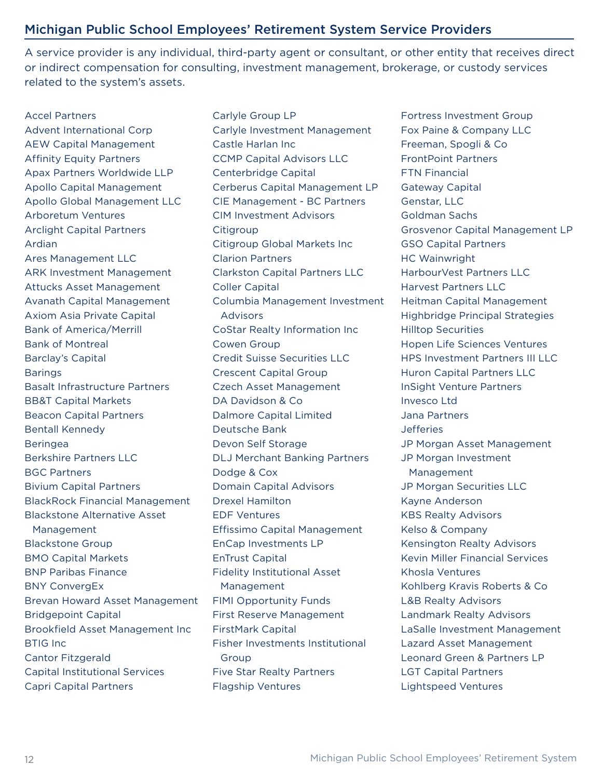#### Michigan Public School Employees' Retirement System Service Providers

A service provider is any individual, third-party agent or consultant, or other entity that receives direct or indirect compensation for consulting, investment management, brokerage, or custody services related to the system's assets.

Accel Partners Advent International Corp AEW Capital Management Affinity Equity Partners Apax Partners Worldwide LLP Apollo Capital Management Apollo Global Management LLC Arboretum Ventures Arclight Capital Partners Ardian Ares Management LLC ARK Investment Management Attucks Asset Management Avanath Capital Management Axiom Asia Private Capital Bank of America/Merrill Bank of Montreal Barclay's Capital **Barings** Basalt Infrastructure Partners BB&T Capital Markets Beacon Capital Partners Bentall Kennedy Beringea Berkshire Partners LLC BGC Partners Bivium Capital Partners BlackRock Financial Management Blackstone Alternative Asset Management Blackstone Group BMO Capital Markets BNP Paribas Finance BNY ConvergEx Brevan Howard Asset Management Bridgepoint Capital Brookfield Asset Management Inc BTIG Inc Cantor Fitzgerald Capital Institutional Services Capri Capital Partners

Carlyle Group LP Carlyle Investment Management Castle Harlan Inc CCMP Capital Advisors LLC Centerbridge Capital Cerberus Capital Management LP CIE Management - BC Partners CIM Investment Advisors **Citigroup** Citigroup Global Markets Inc Clarion Partners Clarkston Capital Partners LLC Coller Capital Columbia Management Investment Advisors CoStar Realty Information Inc Cowen Group Credit Suisse Securities LLC Crescent Capital Group Czech Asset Management DA Davidson & Co Dalmore Capital Limited Deutsche Bank Devon Self Storage DLJ Merchant Banking Partners Dodge & Cox Domain Capital Advisors Drexel Hamilton EDF Ventures Effissimo Capital Management EnCap Investments LP EnTrust Capital Fidelity Institutional Asset Management FIMI Opportunity Funds First Reserve Management FirstMark Capital Fisher Investments Institutional Group Five Star Realty Partners Flagship Ventures

Fortress Investment Group Fox Paine & Company LLC Freeman, Spogli & Co FrontPoint Partners FTN Financial Gateway Capital Genstar, LLC Goldman Sachs Grosvenor Capital Management LP GSO Capital Partners HC Wainwright HarbourVest Partners LLC Harvest Partners LLC Heitman Capital Management Highbridge Principal Strategies Hilltop Securities Hopen Life Sciences Ventures HPS Investment Partners III LLC Huron Capital Partners LLC InSight Venture Partners Invesco Ltd Jana Partners Jefferies JP Morgan Asset Management JP Morgan Investment Management JP Morgan Securities LLC Kayne Anderson KBS Realty Advisors Kelso & Company Kensington Realty Advisors Kevin Miller Financial Services Khosla Ventures Kohlberg Kravis Roberts & Co L&B Realty Advisors Landmark Realty Advisors LaSalle Investment Management Lazard Asset Management Leonard Green & Partners LP LGT Capital Partners Lightspeed Ventures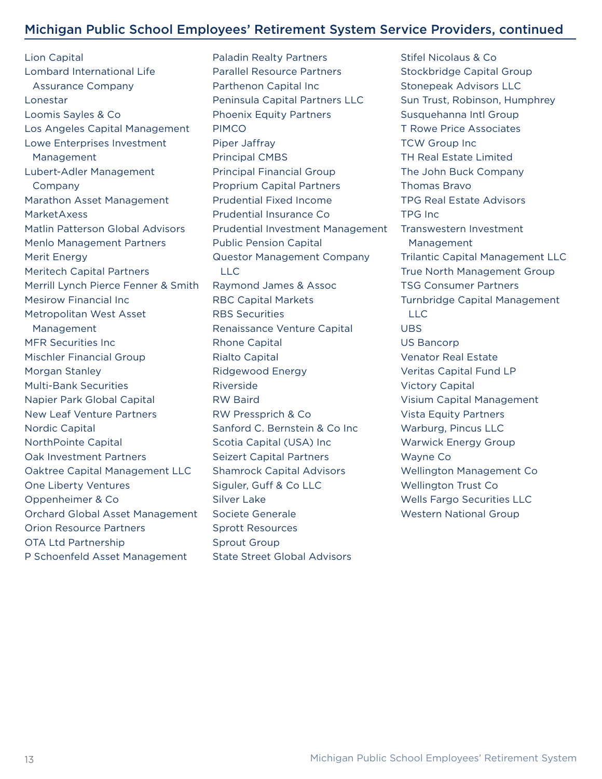#### Michigan Public School Employees' Retirement System Service Providers, continued

Lion Capital Lombard International Life Assurance Company Lonestar Loomis Sayles & Co Los Angeles Capital Management Lowe Enterprises Investment Management Lubert-Adler Management Company Marathon Asset Management MarketAxess Matlin Patterson Global Advisors Menlo Management Partners Merit Energy Meritech Capital Partners Merrill Lynch Pierce Fenner & Smith Mesirow Financial Inc Metropolitan West Asset Management MFR Securities Inc Mischler Financial Group Morgan Stanley Multi-Bank Securities Napier Park Global Capital New Leaf Venture Partners Nordic Capital NorthPointe Capital Oak Investment Partners Oaktree Capital Management LLC One Liberty Ventures Oppenheimer & Co Orchard Global Asset Management Orion Resource Partners OTA Ltd Partnership P Schoenfeld Asset Management

Paladin Realty Partners Parallel Resource Partners Parthenon Capital Inc Peninsula Capital Partners LLC Phoenix Equity Partners PIMCO Piper Jaffray Principal CMBS Principal Financial Group Proprium Capital Partners Prudential Fixed Income Prudential Insurance Co Prudential Investment Management Public Pension Capital Questor Management Company LLC Raymond James & Assoc RBC Capital Markets RBS Securities Renaissance Venture Capital Rhone Capital Rialto Capital Ridgewood Energy Riverside RW Baird RW Pressprich & Co Sanford C. Bernstein & Co Inc Scotia Capital (USA) Inc Seizert Capital Partners Shamrock Capital Advisors Siguler, Guff & Co LLC Silver Lake Societe Generale Sprott Resources Sprout Group State Street Global Advisors

Stifel Nicolaus & Co Stockbridge Capital Group Stonepeak Advisors LLC Sun Trust, Robinson, Humphrey Susquehanna Intl Group T Rowe Price Associates TCW Group Inc TH Real Estate Limited The John Buck Company Thomas Bravo TPG Real Estate Advisors TPG Inc Transwestern Investment Management Trilantic Capital Management LLC True North Management Group TSG Consumer Partners Turnbridge Capital Management LLC UBS US Bancorp Venator Real Estate Veritas Capital Fund LP Victory Capital Visium Capital Management Vista Equity Partners Warburg, Pincus LLC Warwick Energy Group Wayne Co Wellington Management Co Wellington Trust Co Wells Fargo Securities LLC Western National Group